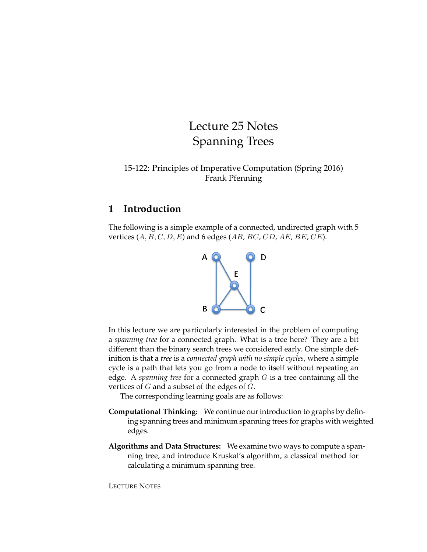# Lecture 25 Notes Spanning Trees

15-122: Principles of Imperative Computation (Spring 2016) Frank Pfenning

#### **1 Introduction**

The following is a simple example of a connected, undirected graph with 5 vertices  $(A, B, C, D, E)$  and 6 edges  $(AB, BC, CD, AE, BE, CE)$ .



In this lecture we are particularly interested in the problem of computing a *spanning tree* for a connected graph. What is a tree here? They are a bit different than the binary search trees we considered early. One simple definition is that a *tree* is a *connected graph with no simple cycles*, where a simple cycle is a path that lets you go from a node to itself without repeating an edge. A *spanning tree* for a connected graph G is a tree containing all the vertices of  $G$  and a subset of the edges of  $G$ .

The corresponding learning goals are as follows:

- **Computational Thinking:** We continue our introduction to graphs by defining spanning trees and minimum spanning trees for graphs with weighted edges.
- **Algorithms and Data Structures:** We examine two ways to compute a spanning tree, and introduce Kruskal's algorithm, a classical method for calculating a minimum spanning tree.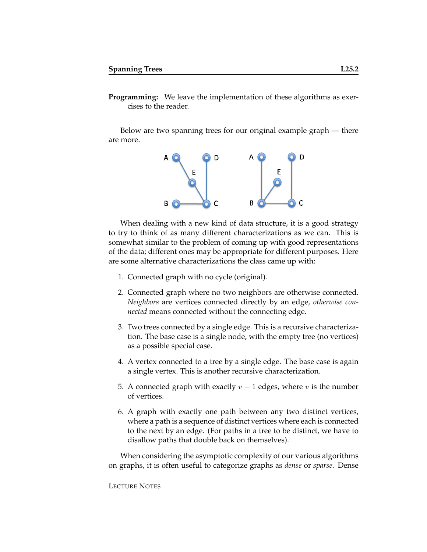**Programming:** We leave the implementation of these algorithms as exercises to the reader.

Below are two spanning trees for our original example graph — there are more.



When dealing with a new kind of data structure, it is a good strategy to try to think of as many different characterizations as we can. This is somewhat similar to the problem of coming up with good representations of the data; different ones may be appropriate for different purposes. Here are some alternative characterizations the class came up with:

- 1. Connected graph with no cycle (original).
- 2. Connected graph where no two neighbors are otherwise connected. *Neighbors* are vertices connected directly by an edge, *otherwise connected* means connected without the connecting edge.
- 3. Two trees connected by a single edge. This is a recursive characterization. The base case is a single node, with the empty tree (no vertices) as a possible special case.
- 4. A vertex connected to a tree by a single edge. The base case is again a single vertex. This is another recursive characterization.
- 5. A connected graph with exactly  $v 1$  edges, where v is the number of vertices.
- 6. A graph with exactly one path between any two distinct vertices, where a path is a sequence of distinct vertices where each is connected to the next by an edge. (For paths in a tree to be distinct, we have to disallow paths that double back on themselves).

When considering the asymptotic complexity of our various algorithms on graphs, it is often useful to categorize graphs as *dense* or *sparse*. Dense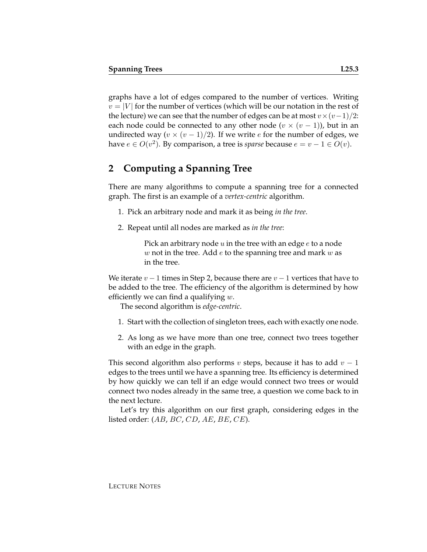graphs have a lot of edges compared to the number of vertices. Writing  $v = |V|$  for the number of vertices (which will be our notation in the rest of the lecture) we can see that the number of edges can be at most  $v \times (v-1)/2$ : each node could be connected to any other node  $(v \times (v-1))$ , but in an undirected way ( $v \times (v - 1)/2$ ). If we write *e* for the number of edges, we have  $e \in O(v^2)$ . By comparison, a tree is *sparse* because  $e = v - 1 \in O(v)$ .

## **2 Computing a Spanning Tree**

There are many algorithms to compute a spanning tree for a connected graph. The first is an example of a *vertex-centric* algorithm.

- 1. Pick an arbitrary node and mark it as being *in the tree*.
- 2. Repeat until all nodes are marked as *in the tree*:

Pick an arbitrary node  $u$  in the tree with an edge  $e$  to a node  $w$  not in the tree. Add  $e$  to the spanning tree and mark  $w$  as in the tree.

We iterate  $v - 1$  times in Step 2, because there are  $v - 1$  vertices that have to be added to the tree. The efficiency of the algorithm is determined by how efficiently we can find a qualifying  $w$ .

The second algorithm is *edge-centric*.

- 1. Start with the collection of singleton trees, each with exactly one node.
- 2. As long as we have more than one tree, connect two trees together with an edge in the graph.

This second algorithm also performs v steps, because it has to add  $v - 1$ edges to the trees until we have a spanning tree. Its efficiency is determined by how quickly we can tell if an edge would connect two trees or would connect two nodes already in the same tree, a question we come back to in the next lecture.

Let's try this algorithm on our first graph, considering edges in the listed order:  $(AB, BC, CD, AE, BE, CE)$ .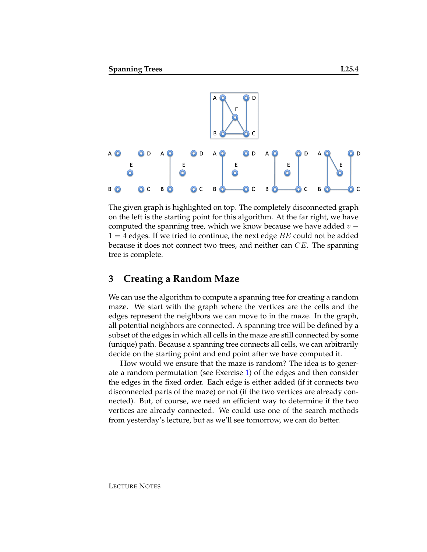

The given graph is highlighted on top. The completely disconnected graph on the left is the starting point for this algorithm. At the far right, we have computed the spanning tree, which we know because we have added  $v 1 = 4$  edges. If we tried to continue, the next edge BE could not be added because it does not connect two trees, and neither can  $CE$ . The spanning tree is complete.

# **3 Creating a Random Maze**

We can use the algorithm to compute a spanning tree for creating a random maze. We start with the graph where the vertices are the cells and the edges represent the neighbors we can move to in the maze. In the graph, all potential neighbors are connected. A spanning tree will be defined by a subset of the edges in which all cells in the maze are still connected by some (unique) path. Because a spanning tree connects all cells, we can arbitrarily decide on the starting point and end point after we have computed it.

How would we ensure that the maze is random? The idea is to generate a random permutation (see Exercise [1\)](#page-7-0) of the edges and then consider the edges in the fixed order. Each edge is either added (if it connects two disconnected parts of the maze) or not (if the two vertices are already connected). But, of course, we need an efficient way to determine if the two vertices are already connected. We could use one of the search methods from yesterday's lecture, but as we'll see tomorrow, we can do better.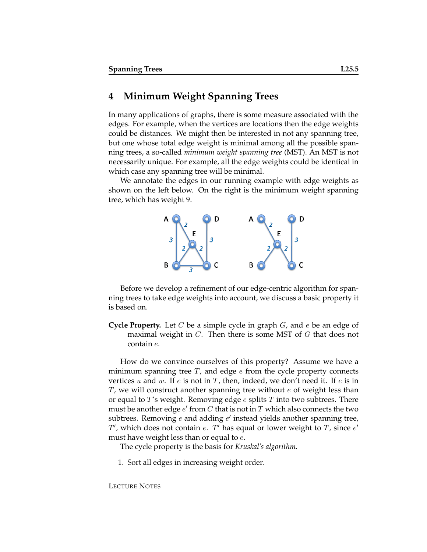### **4 Minimum Weight Spanning Trees**

In many applications of graphs, there is some measure associated with the edges. For example, when the vertices are locations then the edge weights could be distances. We might then be interested in not any spanning tree, but one whose total edge weight is minimal among all the possible spanning trees, a so-called *minimum weight spanning tree* (MST). An MST is not necessarily unique. For example, all the edge weights could be identical in which case any spanning tree will be minimal.

We annotate the edges in our running example with edge weights as shown on the left below. On the right is the minimum weight spanning tree, which has weight 9.



Before we develop a refinement of our edge-centric algorithm for spanning trees to take edge weights into account, we discuss a basic property it is based on.

**Cycle Property.** Let C be a simple cycle in graph G, and e be an edge of maximal weight in  $C$ . Then there is some MST of  $G$  that does not contain e.

How do we convince ourselves of this property? Assume we have a minimum spanning tree  $T$ , and edge  $e$  from the cycle property connects vertices u and w. If e is not in T, then, indeed, we don't need it. If e is in  $T$ , we will construct another spanning tree without  $e$  of weight less than or equal to  $T$ 's weight. Removing edge e splits  $T$  into two subtrees. There must be another edge  $e'$  from  $C$  that is not in  $T$  which also connects the two subtrees. Removing  $e$  and adding  $e'$  instead yields another spanning tree,  $T'$ , which does not contain e.  $T'$  has equal or lower weight to  $T$ , since  $e'$ must have weight less than or equal to  $e$ .

The cycle property is the basis for *Kruskal's algorithm*.

1. Sort all edges in increasing weight order.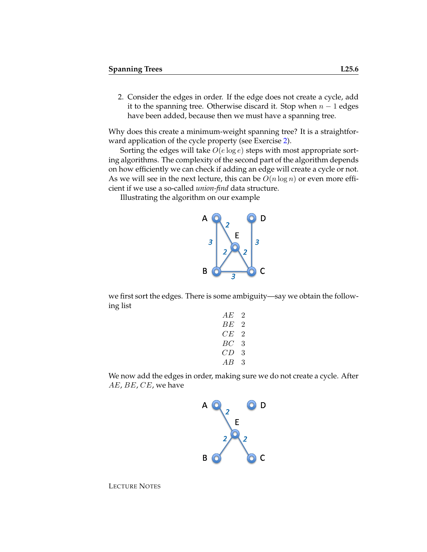2. Consider the edges in order. If the edge does not create a cycle, add it to the spanning tree. Otherwise discard it. Stop when  $n - 1$  edges have been added, because then we must have a spanning tree.

Why does this create a minimum-weight spanning tree? It is a straightforward application of the cycle property (see Exercise [2\)](#page-7-1).

Sorting the edges will take  $O(e \log e)$  steps with most appropriate sorting algorithms. The complexity of the second part of the algorithm depends on how efficiently we can check if adding an edge will create a cycle or not. As we will see in the next lecture, this can be  $O(n \log n)$  or even more efficient if we use a so-called *union-find* data structure.

Illustrating the algorithm on our example



we first sort the edges. There is some ambiguity—say we obtain the following list

| АE  | 2       |
|-----|---------|
| BЕ  | $\cdot$ |
| C E | '2      |
| BC. | 3       |
| CD  | 3       |
| AВ  | 3       |
|     |         |

We now add the edges in order, making sure we do not create a cycle. After AE, BE, CE, we have

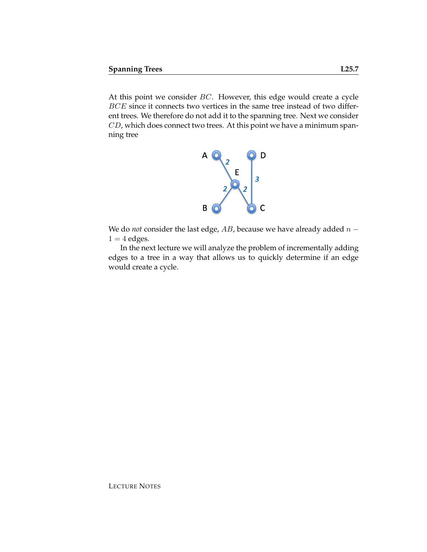At this point we consider BC. However, this edge would create a cycle BCE since it connects two vertices in the same tree instead of two different trees. We therefore do not add it to the spanning tree. Next we consider CD, which does connect two trees. At this point we have a minimum spanning tree



We do *not* consider the last edge,  $AB$ , because we have already added  $n 1 = 4$  edges.

In the next lecture we will analyze the problem of incrementally adding edges to a tree in a way that allows us to quickly determine if an edge would create a cycle.